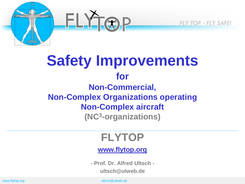**FLY TOP - FLY SAFE!** 

### **Safety Improvements for Non-Commercial, Non-Complex Organizations operating Non-Complex aircraft (NC<sup>3</sup> -organizations)**

 $ELY_{TR}P$ 

### **FLYTOP**

#### **[www.flytop.org](http://www.flytop.org/)**

**- Prof. Dr. Alfred Ultsch ultsch@ulweb.de**

www.flytop.org ultsch@ulweb.de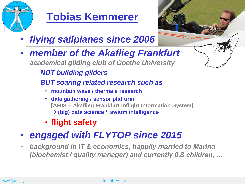

### **Tobias Kemmerer**

- *flying sailplanes since 2006*
- *member of the Akaflieg Frankfurt academical gliding club of Goethe University*
	- *NOT building gliders*
	- *BUT soaring related research such as*
		- **mountain wave / thermals research**
		- **data gathering / sensor platform [AFIIS – Akaflieg Frankfurt Inflight Information System] (big) data science / swarm intelligence**

**AFLIEG - FRANKFURT** 

- **flight safety**
- *engaged with FLYTOP since 2015*
- *background in IT & economics, happily married to Marina (biochemist / quality manager) and currently 0.8 children, …*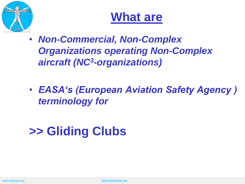

### **What are**

- *Non-Commercial, Non-Complex Organizations operating Non-Complex aircraft (NC<sup>3</sup> -organizations)*
- *EASA's (European Aviation Safety Agency ) terminology for*

# **>> Gliding Clubs**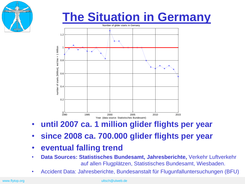

## **The Situation in Germany**



- **until 2007 ca. 1 million glider flights per year**
- **since 2008 ca. 700.000 glider flights per year**
- **eventual falling trend**
- **Data Sources: Statistisches Bundesamt, Jahresberichte,** Verkehr Luftverkehr auf allen Flugplätzen, Statistisches Bundesamt, Wiesbaden.
- Accident Data: Jahresberichte, Bundesanstalt für Flugunfalluntersuchungen (BFU)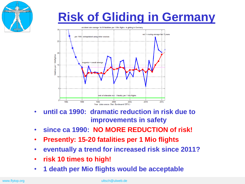



- **until ca 1990: dramatic reduction in risk due to improvements in safety**
- **since ca 1990: NO MORE REDUCTION of risk!**
- **Presently: 15-20 fatalities per 1 Mio flights**
- **eventually a trend for increased risk since 2011?**
- **risk 10 times to high!**
- **1 death per Mio flights would be acceptable**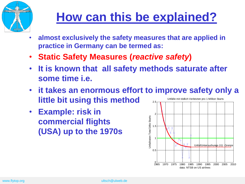

# **How can this be explained?**

- **almost exclusively the safety measures that are applied in practice in Germany can be termed as:**
- **Static Safety Measures (***reactive safety***)**
- **It is known that all safety methods saturate after some time i.e.**
- **it takes an enormous effort to improve safety only a little bit using this method** 2.5 Unfälle mit tödlich Verletzten pro 1 Million Starts
- **Example: risk in commercial flights (USA) up to the 1970s**

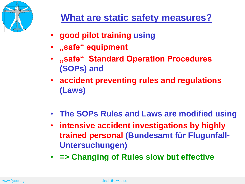

- **good pilot training using**
- **"safe" equipment**
- **"safe" Standard Operation Procedures (SOPs) and**
- **accident preventing rules and regulations (Laws)**
- **The SOPs Rules and Laws are modified using**
- **intensive accident investigations by highly trained personal (Bundesamt für Flugunfall-Untersuchungen)**
- **=> Changing of Rules slow but effective**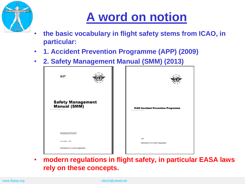

# **A word on notion**

- **the basic vocabulary in flight safety stems from ICAO, in particular:**
- **1. Accident Prevention Programme (APP) (2009)**
- **2. Safety Management Manual (SMM) (2013)**



• **modern regulations in flight safety, in particular EASA laws rely on these concepts.**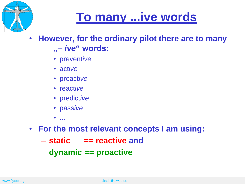

## **To many ...ive words**

- **However, for the ordinary pilot there are to many "–** *ive***" words:**
	- prevent*ive*
	- act*ive*
	- proact*ive*
	- react*ive*
	- predict*ive*
	- pass*ive*
	- $\bullet$  . . . .
- **For the most relevant concepts I am using:**
	- **static == reactive and**
	- **dynamic == proactive**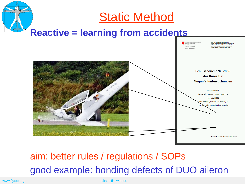

### aim: better rules / regulations / SOPs good example: bonding defects of DUO aileron

www.flytop.org under the control of the control of the control of the control of the control of the control of the control of the control of the control of the control of the control of the control of the control of the co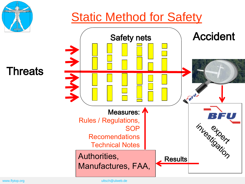

### **Threats**



www.flytop.org ultsch@ulweb.de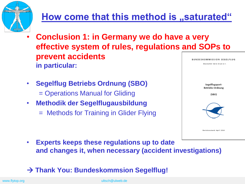

### **How come that this method is "saturated"**

- **Conclusion 1: in Germany we do have a very effective system of rules, regulations and SOPs to prevent accidents in particular:** Deutscher Aero Club e.V.
- **Segelflug Betriebs Ordnung (SBO)** = Operations Manual for Gliding
- **Methodik der Segelflugausbildung**
	- = Methods for Training in Glider Flying



• **Experts keeps these regulations up to date and changes it, when necessary (accident investigations)**

#### **Thank You: Bundeskommsion Segelflug!**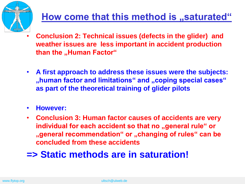

### **How come that this method is "saturated"**

- **Conclusion 2: Technical issues (defects in the glider) and weather issues are less important in accident production than the "Human Factor"**
- **A first approach to address these issues were the subjects: "human factor and limitations" and "coping special cases" as part of the theoretical training of glider pilots**
- **However:**
- **Conclusion 3: Human factor causes of accidents are very**  individual for each accident so that no "general rule" or **"general recommendation" or "changing of rules" can be concluded from these accidents**

### **=> Static methods are in saturation!**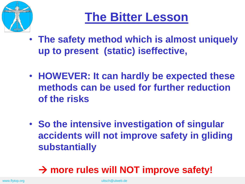

## **The Bitter Lesson**

- **The safety method which is almost uniquely up to present (static) iseffective,**
- **HOWEVER: It can hardly be expected these methods can be used for further reduction of the risks**
- **So the intensive investigation of singular accidents will not improve safety in gliding substantially**

### **more rules will NOT improve safety!**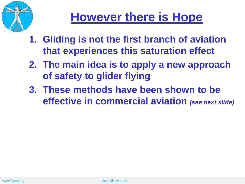

# **However there is Hope**

- **1. Gliding is not the first branch of aviation that experiences this saturation effect**
- **2. The main idea is to apply a new approach of safety to glider flying**
- **3. These methods have been shown to be effective in commercial aviation** *(see next slide)*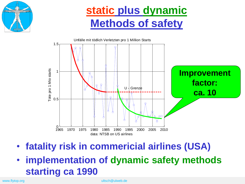

### **static plus dynamic Methods of safety**



- **fatality risk in commericial airlines (USA)**
- **implementation of dynamic safety methods starting ca 1990**

www.flytop.org under the control of the control of the control of the control of the control of the control of the control of the control of the control of the control of the control of the control of the control of the co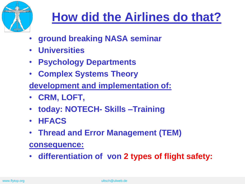

# **How did the Airlines do that?**

- **ground breaking NASA seminar**
- **Universities**
- **Psychology Departments**
- **Complex Systems Theory**
- **development and implementation of:**
- **CRM, LOFT,**
- **today: NOTECH- Skills –Training**
- **HFACS**
- **Thread and Error Management (TEM)**

#### **consequence:**

• **differentiation of von 2 types of flight safety:**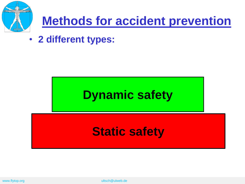

# **Methods for accident prevention**

• **2 different types:**

# **Dynamic safety**

### **Static safety**

www.flytop.org ultsch@ulweb.de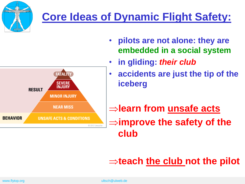

### **Core Ideas of Dynamic Flight Safety:**



- **pilots are not alone: they are embedded in a social system**
- **in gliding:** *their club*
- **accidents are just the tip of the iceberg**

### **learn from unsafe acts improve the safety of the club**

### $\Rightarrow$  **teach the club not the pilot**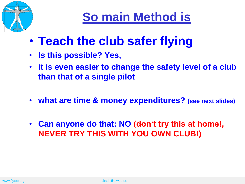

# **So main Method is**

- **Teach the club safer flying**
- **Is this possible? Yes,**
- **it is even easier to change the safety level of a club than that of a single pilot**
- **what are time & money expenditures? (see next slides)**
- **Can anyone do that: NO (don't try this at home!, NEVER TRY THIS WITH YOU OWN CLUB!)**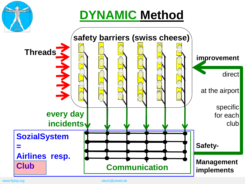

# **DYNAMIC Method**



www.flytop.org ultsch@ulweb.de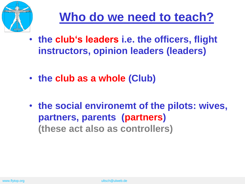

## **Who do we need to teach?**

- **the club's leaders i.e. the officers, flight instructors, opinion leaders (leaders)**
- **the club as a whole (Club)**
- **the social environemt of the pilots: wives, partners, parents (partners) (these act also as controllers)**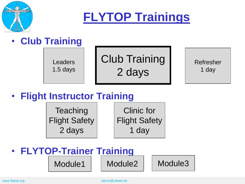

**FLYTOP Trainings**

### • **Club Training**

Leaders 1.5 days Club Training 2 days

Refresher 1 day

### • **Flight Instructor Training**

**Teaching** Flight Safety 2 days

Clinic for Flight Safety 1 day

### • **FLYTOP-Trainer Training** Module1 | Module2 | Module3

www.flytop.org under the control of the control of the control of the control of the control of the control of the control of the control of the control of the control of the control of the control of the control of the co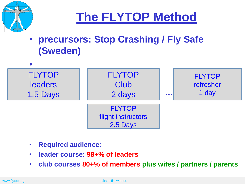

## **The FLYTOP Method**

• **precursors: Stop Crashing / Fly Safe (Sweden)**



- **Required audience:**
- **leader course: 98+% of leaders**
- **club courses 80+% of members plus wifes / partners / parents**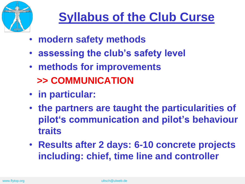

# **Syllabus of the Club Curse**

- **modern safety methods**
- **assessing the club's safety level**
- **methods for improvements >> COMMUNICATION**
- **in particular:**
- **the partners are taught the particularities of pilot's communication and pilot's behaviour traits**
- **Results after 2 days: 6-10 concrete projects including: chief, time line and controller**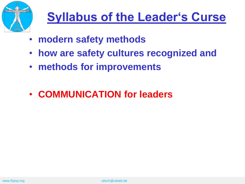

# **Syllabus of the Leader's Curse**

- **modern safety methods**
- **how are safety cultures recognized and**
- **methods for improvements**
- **COMMUNICATION for leaders**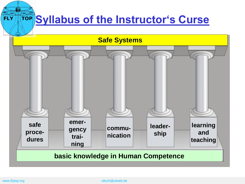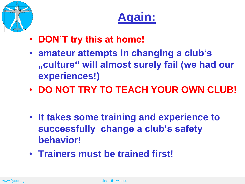



- **DON'T try this at home!**
- **amateur attempts in changing a club's "culture" will almost surely fail (we had our experiences!)**
- **DO NOT TRY TO TEACH YOUR OWN CLUB!**
- **It takes some training and experience to successfully change a club's safety behavior!**
- **Trainers must be trained first!**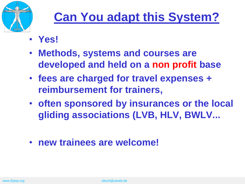

## **Can You adapt this System?**

- **Yes!**
- **Methods, systems and courses are developed and held on a non profit base**
- **fees are charged for travel expenses + reimbursement for trainers,**
- **often sponsored by insurances or the local gliding associations (LVB, HLV, BWLV...**
- **new trainees are welcome!**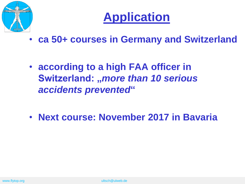



- **ca 50+ courses in Germany and Switzerland**
- **according to a high FAA officer in Switzerland: "***more than 10 serious accidents prevented***"**
- **Next course: November 2017 in Bavaria**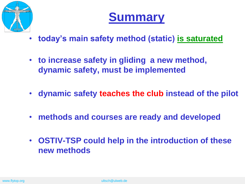



- **today's main safety method (static) is saturated**
- **to increase safety in gliding a new method, dynamic safety, must be implemented**
- **dynamic safety teaches the club instead of the pilot**
- **methods and courses are ready and developed**
- **OSTIV-TSP could help in the introduction of these new methods**